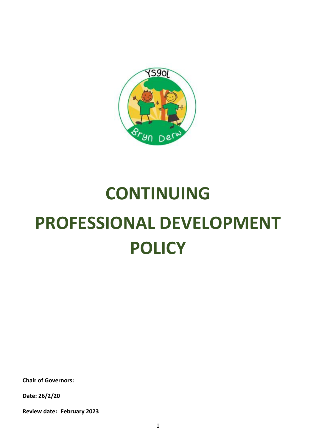

# **CONTINUING PROFESSIONAL DEVELOPMENT POLICY**

**Chair of Governors:**

**Date: 26/2/20**

**Review date: February 2023**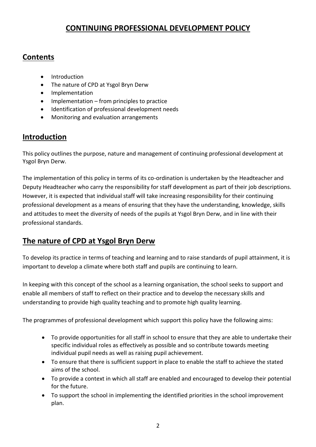## **CONTINUING PROFESSIONAL DEVELOPMENT POLICY**

## **Contents**

- Introduction
- The nature of CPD at Ysgol Bryn Derw
- **•** Implementation
- Implementation from principles to practice
- $\bullet$  Identification of professional development needs
- Monitoring and evaluation arrangements

### **Introduction**

This policy outlines the purpose, nature and management of continuing professional development at Ysgol Bryn Derw.

The implementation of this policy in terms of its co-ordination is undertaken by the Headteacher and Deputy Headteacher who carry the responsibility for staff development as part of their job descriptions. However, it is expected that individual staff will take increasing responsibility for their continuing professional development as a means of ensuring that they have the understanding, knowledge, skills and attitudes to meet the diversity of needs of the pupils at Ysgol Bryn Derw, and in line with their professional standards.

## **The nature of CPD at Ysgol Bryn Derw**

To develop its practice in terms of teaching and learning and to raise standards of pupil attainment, it is important to develop a climate where both staff and pupils are continuing to learn.

In keeping with this concept of the school as a learning organisation, the school seeks to support and enable all members of staff to reflect on their practice and to develop the necessary skills and understanding to provide high quality teaching and to promote high quality learning.

The programmes of professional development which support this policy have the following aims:

- To provide opportunities for all staff in school to ensure that they are able to undertake their specific individual roles as effectively as possible and so contribute towards meeting individual pupil needs as well as raising pupil achievement.
- To ensure that there is sufficient support in place to enable the staff to achieve the stated aims of the school.
- To provide a context in which all staff are enabled and encouraged to develop their potential for the future.
- To support the school in implementing the identified priorities in the school improvement plan.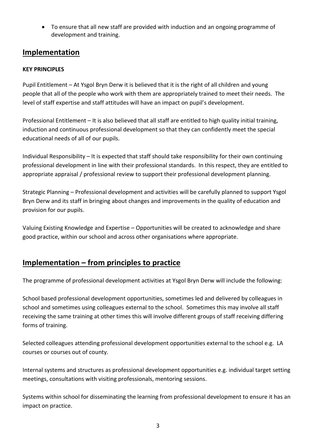To ensure that all new staff are provided with induction and an ongoing programme of development and training.

## **Implementation**

#### **KEY PRINCIPLES**

Pupil Entitlement – At Ysgol Bryn Derw it is believed that it is the right of all children and young people that all of the people who work with them are appropriately trained to meet their needs. The level of staff expertise and staff attitudes will have an impact on pupil's development.

Professional Entitlement – It is also believed that all staff are entitled to high quality initial training, induction and continuous professional development so that they can confidently meet the special educational needs of all of our pupils.

Individual Responsibility – It is expected that staff should take responsibility for their own continuing professional development in line with their professional standards. In this respect, they are entitled to appropriate appraisal / professional review to support their professional development planning.

Strategic Planning – Professional development and activities will be carefully planned to support Ysgol Bryn Derw and its staff in bringing about changes and improvements in the quality of education and provision for our pupils.

Valuing Existing Knowledge and Expertise – Opportunities will be created to acknowledge and share good practice, within our school and across other organisations where appropriate.

## **Implementation – from principles to practice**

The programme of professional development activities at Ysgol Bryn Derw will include the following:

School based professional development opportunities, sometimes led and delivered by colleagues in school and sometimes using colleagues external to the school. Sometimes this may involve all staff receiving the same training at other times this will involve different groups of staff receiving differing forms of training.

Selected colleagues attending professional development opportunities external to the school e.g. LA courses or courses out of county.

Internal systems and structures as professional development opportunities e.g. individual target setting meetings, consultations with visiting professionals, mentoring sessions.

Systems within school for disseminating the learning from professional development to ensure it has an impact on practice.